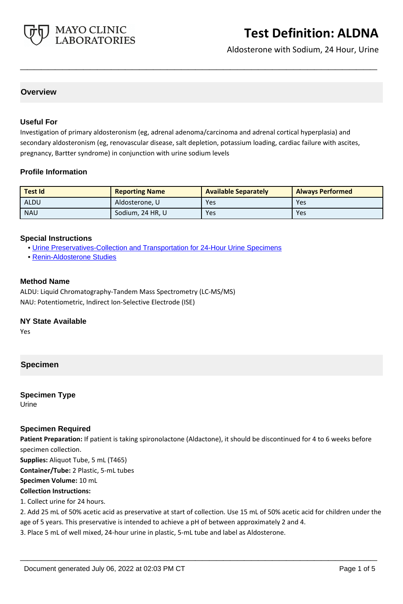

Aldosterone with Sodium, 24 Hour, Urine

# **Overview**

#### **Useful For**

Investigation of primary aldosteronism (eg, adrenal adenoma/carcinoma and adrenal cortical hyperplasia) and secondary aldosteronism (eg, renovascular disease, salt depletion, potassium loading, cardiac failure with ascites, pregnancy, Bartter syndrome) in conjunction with urine sodium levels

**\_\_\_\_\_\_\_\_\_\_\_\_\_\_\_\_\_\_\_\_\_\_\_\_\_\_\_\_\_\_\_\_\_\_\_\_\_\_\_\_\_\_\_\_\_\_\_\_\_\_\_**

#### **Profile Information**

| <b>Test Id</b> | <b>Reporting Name</b> | <b>Available Separately</b> | <b>Always Performed</b> |
|----------------|-----------------------|-----------------------------|-------------------------|
| ALDU           | Aldosterone, U        | Yes                         | Yes                     |
| <b>NAU</b>     | Sodium, 24 HR, U      | Yes                         | Yes                     |

#### **Special Instructions**

- • [Urine Preservatives-Collection and Transportation for 24-Hour Urine Specimens](http://www.mayocliniclabs.com/it-mmfiles/Urine_Preservatives-Collection_and_Transportation_for_24-Hour_Urine_Specimens.pdf)
- • [Renin-Aldosterone Studies](http://www.mayocliniclabs.com/it-mmfiles/Renin-Aldosterone_Studies.pdf)

#### **Method Name**

ALDU: Liquid Chromatography-Tandem Mass Spectrometry (LC-MS/MS) NAU: Potentiometric, Indirect Ion-Selective Electrode (ISE)

#### **NY State Available**

Yes

# **Specimen**

**Specimen Type** Urine

#### **Specimen Required**

**Patient Preparation:** If patient is taking spironolactone (Aldactone), it should be discontinued for 4 to 6 weeks before specimen collection.

**Supplies:** Aliquot Tube, 5 mL (T465)

**Container/Tube:** 2 Plastic, 5-mL tubes

**Specimen Volume:** 10 mL

#### **Collection Instructions:**

1. Collect urine for 24 hours.

2. Add 25 mL of 50% acetic acid as preservative at start of collection. Use 15 mL of 50% acetic acid for children under the age of 5 years. This preservative is intended to achieve a pH of between approximately 2 and 4.

**\_\_\_\_\_\_\_\_\_\_\_\_\_\_\_\_\_\_\_\_\_\_\_\_\_\_\_\_\_\_\_\_\_\_\_\_\_\_\_\_\_\_\_\_\_\_\_\_\_\_\_**

3. Place 5 mL of well mixed, 24-hour urine in plastic, 5-mL tube and label as Aldosterone.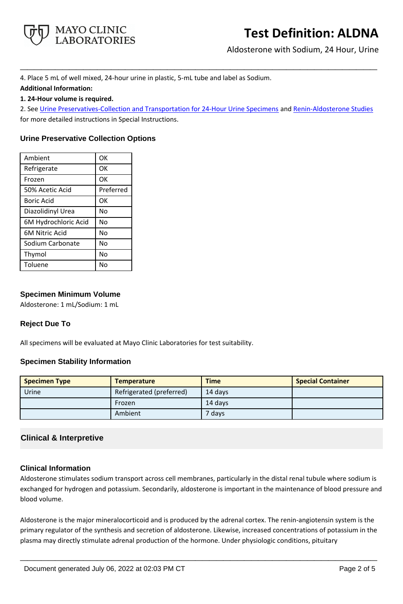

Aldosterone with Sodium, 24 Hour, Urine

4. Place 5 mL of well mixed, 24-hour urine in plastic, 5-mL tube and label as Sodium. **Additional Information:**

**1. 24-Hour volume is required.**

2. See [Urine Preservatives-Collection and Transportation for 24-Hour Urine Specimens](https://www.mayocliniclabs.com/it-mmfiles/Urine_Preservatives-Collection_and_Transportation_for_24-Hour_Urine_Specimens.pdf) and [Renin-Aldosterone Studies](https://www.mayocliniclabs.com/it-mmfiles/Renin-Aldosterone_Studies.pdf) for more detailed instructions in Special Instructions.

**\_\_\_\_\_\_\_\_\_\_\_\_\_\_\_\_\_\_\_\_\_\_\_\_\_\_\_\_\_\_\_\_\_\_\_\_\_\_\_\_\_\_\_\_\_\_\_\_\_\_\_**

# **Urine Preservative Collection Options**

| Ambient               | OK        |
|-----------------------|-----------|
| Refrigerate           | OK        |
| Frozen                | OK        |
| 50% Acetic Acid       | Preferred |
| <b>Boric Acid</b>     | OK        |
| Diazolidinyl Urea     | No        |
| 6M Hydrochloric Acid  | No        |
| <b>6M Nitric Acid</b> | No        |
| Sodium Carbonate      | No        |
| Thymol                | No        |
| Toluene               | No        |

# **Specimen Minimum Volume**

Aldosterone: 1 mL/Sodium: 1 mL

# **Reject Due To**

All specimens will be evaluated at Mayo Clinic Laboratories for test suitability.

# **Specimen Stability Information**

| <b>Specimen Type</b> | <b>Temperature</b>       | <b>Time</b> | <b>Special Container</b> |
|----------------------|--------------------------|-------------|--------------------------|
| Urine                | Refrigerated (preferred) | 14 davs     |                          |
|                      | Frozen                   | 14 days     |                          |
|                      | Ambient                  | 7 days      |                          |

# **Clinical & Interpretive**

# **Clinical Information**

Aldosterone stimulates sodium transport across cell membranes, particularly in the distal renal tubule where sodium is exchanged for hydrogen and potassium. Secondarily, aldosterone is important in the maintenance of blood pressure and blood volume.

Aldosterone is the major mineralocorticoid and is produced by the adrenal cortex. The renin-angiotensin system is the primary regulator of the synthesis and secretion of aldosterone. Likewise, increased concentrations of potassium in the plasma may directly stimulate adrenal production of the hormone. Under physiologic conditions, pituitary

**\_\_\_\_\_\_\_\_\_\_\_\_\_\_\_\_\_\_\_\_\_\_\_\_\_\_\_\_\_\_\_\_\_\_\_\_\_\_\_\_\_\_\_\_\_\_\_\_\_\_\_**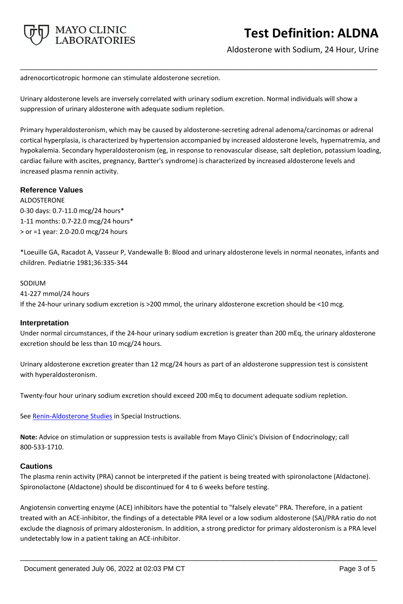

Aldosterone with Sodium, 24 Hour, Urine

adrenocorticotropic hormone can stimulate aldosterone secretion.

Urinary aldosterone levels are inversely correlated with urinary sodium excretion. Normal individuals will show a suppression of urinary aldosterone with adequate sodium repletion.

**\_\_\_\_\_\_\_\_\_\_\_\_\_\_\_\_\_\_\_\_\_\_\_\_\_\_\_\_\_\_\_\_\_\_\_\_\_\_\_\_\_\_\_\_\_\_\_\_\_\_\_**

Primary hyperaldosteronism, which may be caused by aldosterone-secreting adrenal adenoma/carcinomas or adrenal cortical hyperplasia, is characterized by hypertension accompanied by increased aldosterone levels, hypernatremia, and hypokalemia. Secondary hyperaldosteronism (eg, in response to renovascular disease, salt depletion, potassium loading, cardiac failure with ascites, pregnancy, Bartter's syndrome) is characterized by increased aldosterone levels and increased plasma rennin activity.

# **Reference Values**

ALDOSTERONE 0-30 days: 0.7-11.0 mcg/24 hours\* 1-11 months: 0.7-22.0 mcg/24 hours\* > or =1 year: 2.0-20.0 mcg/24 hours

\*Loeuille GA, Racadot A, Vasseur P, Vandewalle B: Blood and urinary aldosterone levels in normal neonates, infants and children. Pediatrie 1981;36:335-344

#### SODIUM

41-227 mmol/24 hours

If the 24-hour urinary sodium excretion is >200 mmol, the urinary aldosterone excretion should be <10 mcg.

#### **Interpretation**

Under normal circumstances, if the 24-hour urinary sodium excretion is greater than 200 mEq, the urinary aldosterone excretion should be less than 10 mcg/24 hours.

Urinary aldosterone excretion greater than 12 mcg/24 hours as part of an aldosterone suppression test is consistent with hyperaldosteronism.

Twenty-four hour urinary sodium excretion should exceed 200 mEq to document adequate sodium repletion.

See **Renin-Aldosterone Studies** in Special Instructions.

**Note:** Advice on stimulation or suppression tests is available from Mayo Clinic's Division of Endocrinology; call 800-533-1710.

#### **Cautions**

The plasma renin activity (PRA) cannot be interpreted if the patient is being treated with spironolactone (Aldactone). Spironolactone (Aldactone) should be discontinued for 4 to 6 weeks before testing.

Angiotensin converting enzyme (ACE) inhibitors have the potential to "falsely elevate" PRA. Therefore, in a patient treated with an ACE-inhibitor, the findings of a detectable PRA level or a low sodium aldosterone (SA)/PRA ratio do not exclude the diagnosis of primary aldosteronism. In addition, a strong predictor for primary aldosteronism is a PRA level undetectably low in a patient taking an ACE-inhibitor.

**\_\_\_\_\_\_\_\_\_\_\_\_\_\_\_\_\_\_\_\_\_\_\_\_\_\_\_\_\_\_\_\_\_\_\_\_\_\_\_\_\_\_\_\_\_\_\_\_\_\_\_**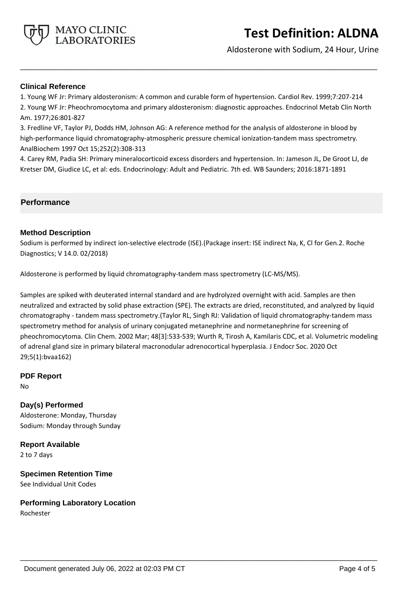

Aldosterone with Sodium, 24 Hour, Urine

#### **Clinical Reference**

1. Young WF Jr: Primary aldosteronism: A common and curable form of hypertension. Cardiol Rev. 1999;7:207-214 2. Young WF Jr: Pheochromocytoma and primary aldosteronism: diagnostic approaches. Endocrinol Metab Clin North Am. 1977;26:801-827

**\_\_\_\_\_\_\_\_\_\_\_\_\_\_\_\_\_\_\_\_\_\_\_\_\_\_\_\_\_\_\_\_\_\_\_\_\_\_\_\_\_\_\_\_\_\_\_\_\_\_\_**

3. Fredline VF, Taylor PJ, Dodds HM, Johnson AG: A reference method for the analysis of aldosterone in blood by high-performance liquid chromatography-atmospheric pressure chemical ionization-tandem mass spectrometry. AnalBiochem 1997 Oct 15;252(2):308-313

4. Carey RM, Padia SH: Primary mineralocorticoid excess disorders and hypertension. In: Jameson JL, De Groot LJ, de Kretser DM, Giudice LC, et al: eds. Endocrinology: Adult and Pediatric. 7th ed. WB Saunders; 2016:1871-1891

#### **Performance**

#### **Method Description**

Sodium is performed by indirect ion-selective electrode (ISE).(Package insert: ISE indirect Na, K, Cl for Gen.2. Roche Diagnostics; V 14.0. 02/2018)

Aldosterone is performed by liquid chromatography-tandem mass spectrometry (LC-MS/MS).

Samples are spiked with deuterated internal standard and are hydrolyzed overnight with acid. Samples are then neutralized and extracted by solid phase extraction (SPE). The extracts are dried, reconstituted, and analyzed by liquid chromatography - tandem mass spectrometry.(Taylor RL, Singh RJ: Validation of liquid chromatography-tandem mass spectrometry method for analysis of urinary conjugated metanephrine and normetanephrine for screening of pheochromocytoma. Clin Chem. 2002 Mar; 48[3]:533-539; Wurth R, Tirosh A, Kamilaris CDC, et al. Volumetric modeling of adrenal gland size in primary bilateral macronodular adrenocortical hyperplasia. J Endocr Soc. 2020 Oct 29;5(1):bvaa162)

**\_\_\_\_\_\_\_\_\_\_\_\_\_\_\_\_\_\_\_\_\_\_\_\_\_\_\_\_\_\_\_\_\_\_\_\_\_\_\_\_\_\_\_\_\_\_\_\_\_\_\_**

# **PDF Report**

No

# **Day(s) Performed** Aldosterone: Monday, Thursday Sodium: Monday through Sunday

**Report Available** 2 to 7 days

**Specimen Retention Time** See Individual Unit Codes

# **Performing Laboratory Location**

Rochester